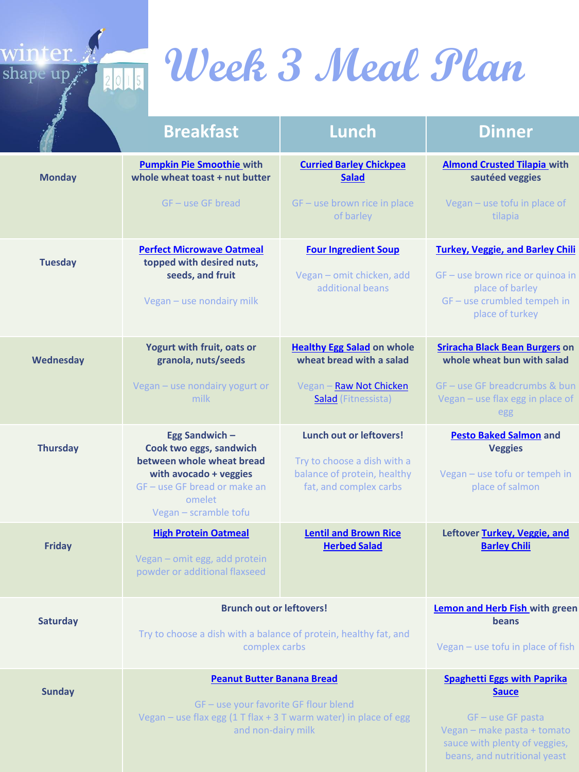

# **Week 3 Meal Plan**

|                 | <b>Breakfast</b>                                                                                                                                                           | Lunch                                                                                                                  | <b>Dinner</b>                                                                                                                                                             |
|-----------------|----------------------------------------------------------------------------------------------------------------------------------------------------------------------------|------------------------------------------------------------------------------------------------------------------------|---------------------------------------------------------------------------------------------------------------------------------------------------------------------------|
| <b>Monday</b>   | <b>Pumpkin Pie Smoothie with</b><br>whole wheat toast + nut butter<br>$GF - use GF bread$                                                                                  | <b>Curried Barley Chickpea</b><br><b>Salad</b><br>GF - use brown rice in place<br>of barley                            | <b>Almond Crusted Tilapia with</b><br>sautéed veggies<br>Vegan - use tofu in place of<br>tilapia                                                                          |
| <b>Tuesday</b>  | <b>Perfect Microwave Oatmeal</b><br>topped with desired nuts,<br>seeds, and fruit<br>Vegan - use nondairy milk                                                             | <b>Four Ingredient Soup</b><br>Vegan - omit chicken, add<br>additional beans                                           | <b>Turkey, Veggie, and Barley Chili</b><br>GF - use brown rice or quinoa in<br>place of barley<br>GF-use crumbled tempeh in<br>place of turkey                            |
| Wednesday       | Yogurt with fruit, oats or<br>granola, nuts/seeds<br>Vegan - use nondairy yogurt or<br>milk                                                                                | <b>Healthy Egg Salad on whole</b><br>wheat bread with a salad<br>Vegan - Raw Not Chicken<br><b>Salad</b> (Fitnessista) | <b>Sriracha Black Bean Burgers on</b><br>whole wheat bun with salad<br>GF - use GF breadcrumbs & bun<br>Vegan - use flax egg in place of<br>egg                           |
| <b>Thursday</b> | <b>Egg Sandwich -</b><br>Cook two eggs, sandwich<br>between whole wheat bread<br>with avocado + veggies<br>GF - use GF bread or make an<br>omelet<br>Vegan - scramble tofu | Lunch out or leftovers!<br>Try to choose a dish with a<br>balance of protein, healthy<br>fat, and complex carbs        | <b>Pesto Baked Salmon and</b><br><b>Veggies</b><br>Vegan - use tofu or tempeh in<br>place of salmon                                                                       |
| <b>Friday</b>   | <b>High Protein Oatmeal</b><br>Vegan - omit egg, add protein<br>powder or additional flaxseed                                                                              | <b>Lentil and Brown Rice</b><br><b>Herbed Salad</b>                                                                    | Leftover Turkey, Veggie, and<br><b>Barley Chili</b>                                                                                                                       |
| <b>Saturday</b> | <b>Brunch out or leftovers!</b><br>Try to choose a dish with a balance of protein, healthy fat, and<br>complex carbs                                                       |                                                                                                                        | Lemon and Herb Fish with green<br>beans<br>Vegan - use tofu in place of fish                                                                                              |
| <b>Sunday</b>   | <b>Peanut Butter Banana Bread</b><br>GF - use your favorite GF flour blend<br>Vegan - use flax egg (1 T flax + 3 T warm water) in place of egg<br>and non-dairy milk       |                                                                                                                        | <b>Spaghetti Eggs with Paprika</b><br><b>Sauce</b><br>$GF - use GF$ pasta<br>Vegan - make pasta + tomato<br>sauce with plenty of veggies,<br>beans, and nutritional yeast |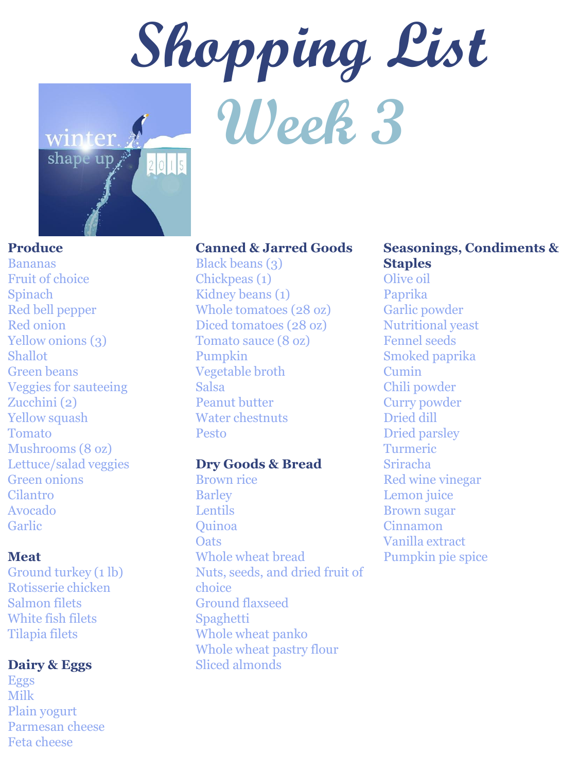

#### **Produce**

Bananas Fruit of choice Spinach Red bell pepper Red onion Yellow onions (3) Shallot Green beans Veggies for sauteeing Zucchini (2) Yellow squash Tomato Mushrooms (8 oz) Lettuce/salad veggies Green onions Cilantro Avocado Garlic

#### **Meat**

Ground turkey (1 lb) Rotisserie chicken Salmon filets White fish filets Tilapia filets

#### **Dairy & Eggs**

Eggs Milk Plain yogurt Parmesan cheese Feta cheese

#### **Canned & Jarred Goods**

Black beans (3) Chickpeas (1) Kidney beans (1) Whole tomatoes (28 oz) Diced tomatoes (28 oz) Tomato sauce (8 oz) Pumpkin Vegetable broth Salsa Peanut butter Water chestnuts Pesto

#### **Dry Goods & Bread**

Brown rice Barley Lentils Quinoa **Oats** Whole wheat bread Nuts, seeds, and dried fruit of choice Ground flaxseed Spaghetti Whole wheat panko Whole wheat pastry flour Sliced almonds

### **Seasonings, Condiments & Staples**

Olive oil Paprika Garlic powder Nutritional yeast Fennel seeds Smoked paprika Cumin Chili powder Curry powder Dried dill Dried parsley Turmeric Sriracha Red wine vinegar Lemon juice Brown sugar Cinnamon Vanilla extract Pumpkin pie spice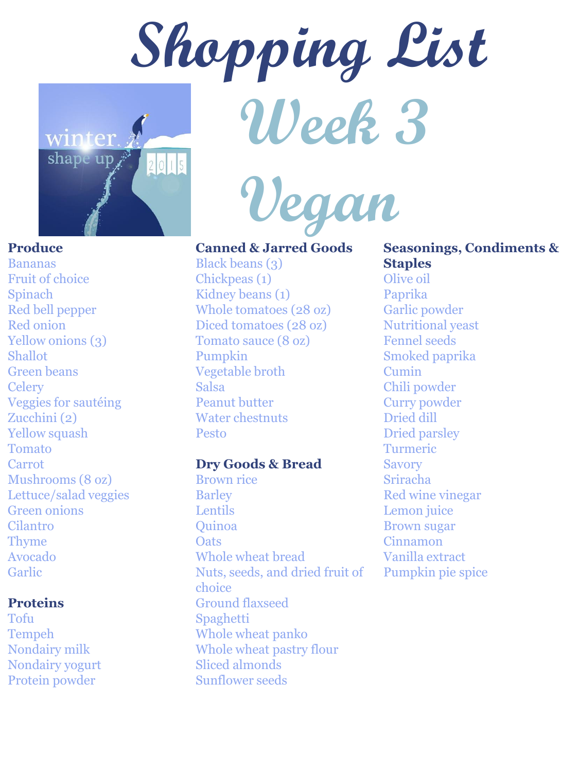

 **Vegan** 

#### **Produce**

Bananas Fruit of choice Spinach Red bell pepper Red onion Yellow onions (3) Shallot Green beans **Celery** Veggies for sautéing Zucchini (2) Yellow squash Tomato Carrot Mushrooms (8 oz) Lettuce/salad veggies Green onions Cilantro Thyme Avocado Garlic

#### **Proteins**

Tofu Tempeh Nondairy milk Nondairy yogurt Protein powder

#### **Canned & Jarred Goods**

Black beans (3) Chickpeas (1) Kidney beans (1) Whole tomatoes (28 oz) Diced tomatoes (28 oz) Tomato sauce (8 oz) Pumpkin Vegetable broth Salsa Peanut butter Water chestnuts Pesto

#### **Dry Goods & Bread**

Brown rice Barley Lentils Quinoa **Oats** Whole wheat bread Nuts, seeds, and dried fruit of choice Ground flaxseed Spaghetti Whole wheat panko Whole wheat pastry flour Sliced almonds Sunflower seeds

## **Seasonings, Condiments & Staples**

Olive oil Paprika Garlic powder Nutritional yeast Fennel seeds Smoked paprika Cumin Chili powder Curry powder Dried dill Dried parsley Turmeric Savory Sriracha Red wine vinegar Lemon juice Brown sugar Cinnamon Vanilla extract Pumpkin pie spice